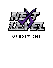

# **Camp Policies**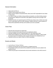# General information:

- Camp opens at 9:45 a.m.
- Children must be picked up by 2:00 pm.
- Names must be marked on all personal items. Next Level is NOT responsible for lost, broken or stolen items.
- In an effort to better suit children during activities and playtime, we will be dividing campers into age groups. Siblings who would like to stay together would go with the younger of the two groups.
- Monitored activities and organized games will fill their day while at camp. Children who need to sit in a quiet space may do so when necessary. Children with fever or other symptoms of illness will be quarantined until they can be picked up as soon as possible.

# Camp Fees:

- Discounts will not be given for missed days.
- We do not charge for the weeks that you're not registered to attend.
- Automatic charges will occur at approximately 9 a.m. the Friday before camp.
- Parents will be notified by noon if the card on file is unable to be charged. In order to keep the reserved spot for the following month, payment will need to be completed by 5 p.m.
- Payments must be up to date in order for a child to participate.

#### Snacks and Meals:

- $\bullet$  Lunch will be at 11:30 am-12:00 pm.
- Campers can bring their own food and drinks in a labeled lunch box.
- Pre-packaged lunches and snacks will be available for purchase and can be added to the students account.
- Parents may pre-pay for lunches/snacks and put snack restrictions on the child's account. $\lambda$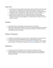## Dress Code:

- Tennis shoes are recommended for daily activities. Slides and flip flops are discouraged but can be worn on outdoor/water days. Parents will be notified in advance of any outdoor/water days. Usually at least 2-3 days a week will have an outside/water activity.
- All clothing should be comfortable and weather-appropriate. Please remember air conditioning can get a little chilly in the mornings so layers are recommended.
- Please send your child with a back-up outfit on their first day to be left at Next Level throughout their Summer Camp registration. This outfit will be worn if they ever have an accident or get dirty.

# Discipline:

- Appropriate behavior and language are expected at Next Level Athletics.
- Rules will be clearly stated by instructors. Our goal is to always use redirection and positive reinforcement. At times, time outs and quiet time may be required for children who need some additional space and calming.

## Release of Participants:

- All children must be signed in and out by a parent or authorized pick-up contact each day.
- Only those who have been designated to pick up a child are allowed to pick up.
- If someone else is picking up your child, we will ask that you complete an "Add a Contact" form in advance. You can add them yourself in our **[Parent](https://app.iclasspro.com/portal/nextlevelcheer) Portal available on our website.**

#### Medications:

- A child may not receive medication of any kind unless it is required by a doctor.
- Parents/guardians must place medicine in a Ziploc bag with child's name, dosage and frequency. Medication must be provided in the original container with pharmacy/doctor instructions and label.